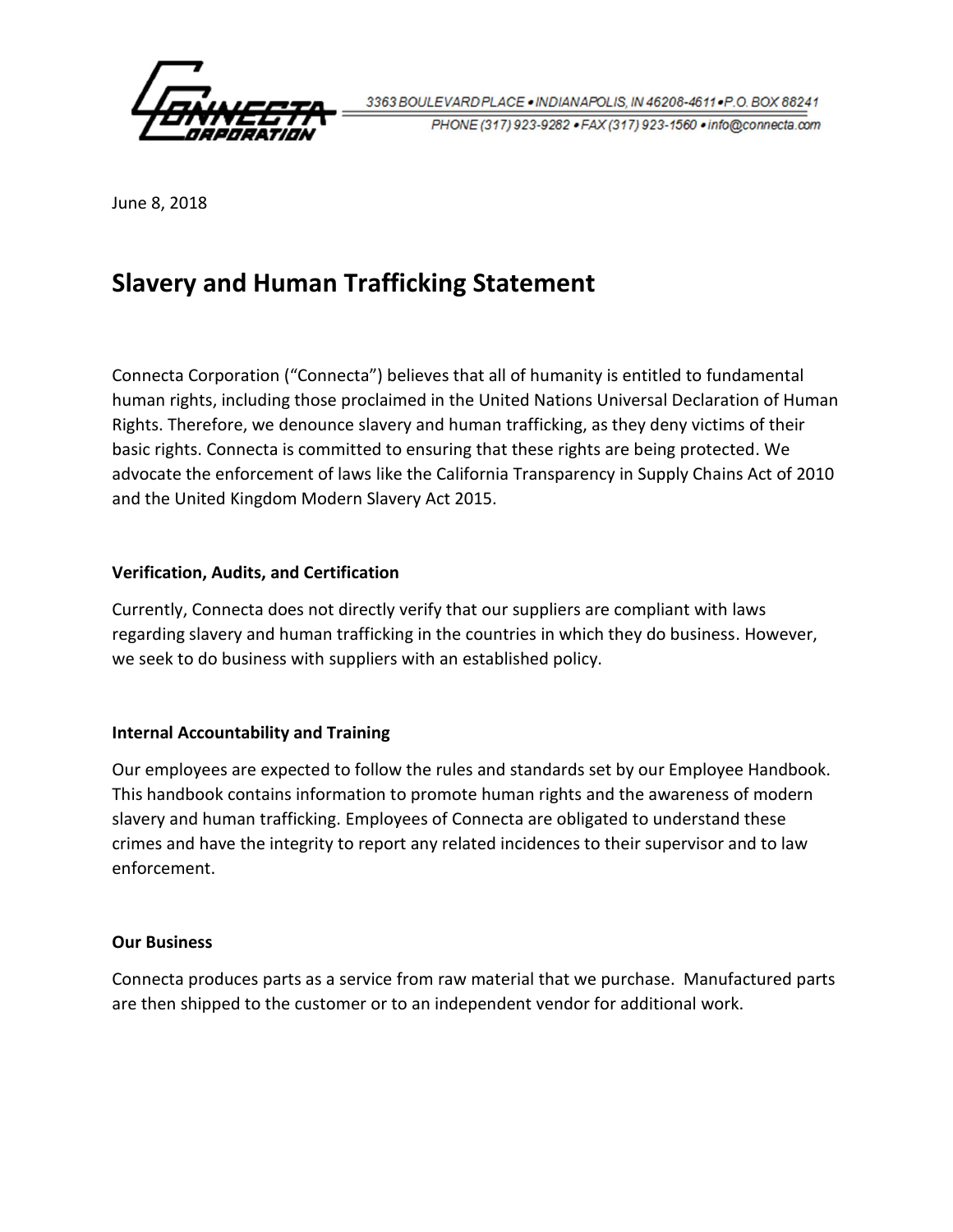

3363 BOULEVARD PLACE . INDIANAPOLIS, IN 46208-4611 . P.O. BOX 88241 PHONE (317) 923-9282 · FAX (317) 923-1560 · info@connecta.com

June 8, 2018

## **Slavery and Human Trafficking Statement**

Connecta Corporation ("Connecta") believes that all of humanity is entitled to fundamental human rights, including those proclaimed in the United Nations Universal Declaration of Human Rights. Therefore, we denounce slavery and human trafficking, as they deny victims of their basic rights. Connecta is committed to ensuring that these rights are being protected. We advocate the enforcement of laws like the California Transparency in Supply Chains Act of 2010 and the United Kingdom Modern Slavery Act 2015.

## **Verification, Audits, and Certification**

Currently, Connecta does not directly verify that our suppliers are compliant with laws regarding slavery and human trafficking in the countries in which they do business. However, we seek to do business with suppliers with an established policy.

## **Internal Accountability and Training**

Our employees are expected to follow the rules and standards set by our Employee Handbook. This handbook contains information to promote human rights and the awareness of modern slavery and human trafficking. Employees of Connecta are obligated to understand these crimes and have the integrity to report any related incidences to their supervisor and to law enforcement.

## **Our Business**

Connecta produces parts as a service from raw material that we purchase. Manufactured parts are then shipped to the customer or to an independent vendor for additional work.